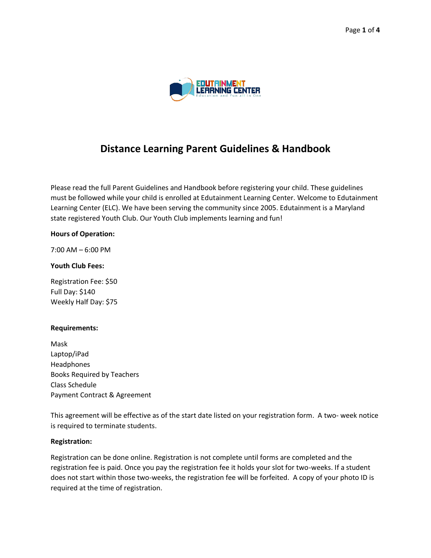

# **Distance Learning Parent Guidelines & Handbook**

Please read the full Parent Guidelines and Handbook before registering your child. These guidelines must be followed while your child is enrolled at Edutainment Learning Center. Welcome to Edutainment Learning Center (ELC). We have been serving the community since 2005. Edutainment is a Maryland state registered Youth Club. Our Youth Club implements learning and fun!

#### **Hours of Operation:**

7:00 AM – 6:00 PM

## **Youth Club Fees:**

Registration Fee: \$50 Full Day: \$140 Weekly Half Day: \$75

#### **Requirements:**

Mask Laptop/iPad Headphones Books Required by Teachers Class Schedule Payment Contract & Agreement

This agreement will be effective as of the start date listed on your registration form. A two- week notice is required to terminate students.

#### **Registration:**

Registration can be done online. Registration is not complete until forms are completed and the registration fee is paid. Once you pay the registration fee it holds your slot for two-weeks. If a student does not start within those two-weeks, the registration fee will be forfeited. A copy of your photo ID is required at the time of registration.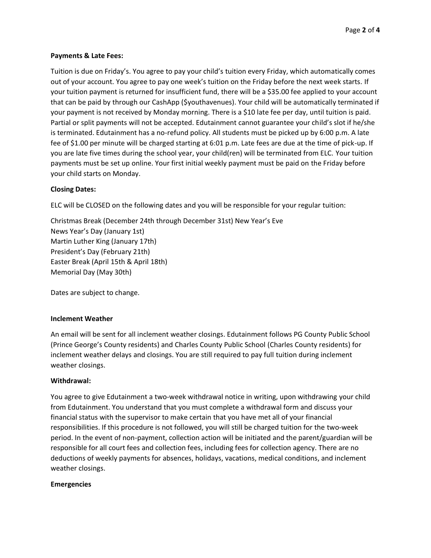## **Payments & Late Fees:**

Tuition is due on Friday's. You agree to pay your child's tuition every Friday, which automatically comes out of your account. You agree to pay one week's tuition on the Friday before the next week starts. If your tuition payment is returned for insufficient fund, there will be a \$35.00 fee applied to your account that can be paid by through our CashApp (\$youthavenues). Your child will be automatically terminated if your payment is not received by Monday morning. There is a \$10 late fee per day, until tuition is paid. Partial or split payments will not be accepted. Edutainment cannot guarantee your child's slot if he/she is terminated. Edutainment has a no-refund policy. All students must be picked up by 6:00 p.m. A late fee of \$1.00 per minute will be charged starting at 6:01 p.m. Late fees are due at the time of pick-up. If you are late five times during the school year, your child(ren) will be terminated from ELC. Your tuition payments must be set up online. Your first initial weekly payment must be paid on the Friday before your child starts on Monday.

# **Closing Dates:**

ELC will be CLOSED on the following dates and you will be responsible for your regular tuition:

Christmas Break (December 24th through December 31st) New Year's Eve News Year's Day (January 1st) Martin Luther King (January 17th) President's Day (February 21th) Easter Break (April 15th & April 18th) Memorial Day (May 30th)

Dates are subject to change.

#### **Inclement Weather**

An email will be sent for all inclement weather closings. Edutainment follows PG County Public School (Prince George's County residents) and Charles County Public School (Charles County residents) for inclement weather delays and closings. You are still required to pay full tuition during inclement weather closings.

#### **Withdrawal:**

You agree to give Edutainment a two-week withdrawal notice in writing, upon withdrawing your child from Edutainment. You understand that you must complete a withdrawal form and discuss your financial status with the supervisor to make certain that you have met all of your financial responsibilities. If this procedure is not followed, you will still be charged tuition for the two-week period. In the event of non-payment, collection action will be initiated and the parent/guardian will be responsible for all court fees and collection fees, including fees for collection agency. There are no deductions of weekly payments for absences, holidays, vacations, medical conditions, and inclement weather closings.

#### **Emergencies**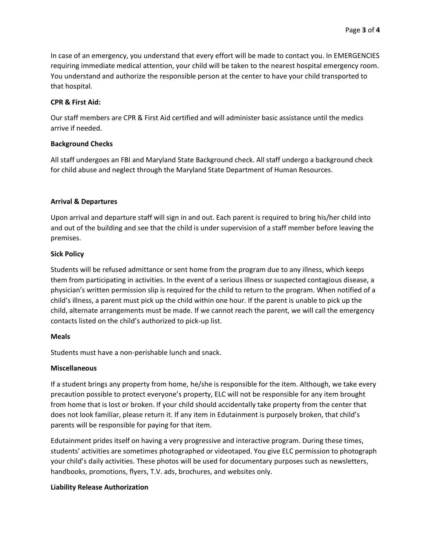In case of an emergency, you understand that every effort will be made to contact you. In EMERGENCIES requiring immediate medical attention, your child will be taken to the nearest hospital emergency room. You understand and authorize the responsible person at the center to have your child transported to that hospital.

## **CPR & First Aid:**

Our staff members are CPR & First Aid certified and will administer basic assistance until the medics arrive if needed.

## **Background Checks**

All staff undergoes an FBI and Maryland State Background check. All staff undergo a background check for child abuse and neglect through the Maryland State Department of Human Resources.

## **Arrival & Departures**

Upon arrival and departure staff will sign in and out. Each parent is required to bring his/her child into and out of the building and see that the child is under supervision of a staff member before leaving the premises.

## **Sick Policy**

Students will be refused admittance or sent home from the program due to any illness, which keeps them from participating in activities. In the event of a serious illness or suspected contagious disease, a physician's written permission slip is required for the child to return to the program. When notified of a child's illness, a parent must pick up the child within one hour. If the parent is unable to pick up the child, alternate arrangements must be made. If we cannot reach the parent, we will call the emergency contacts listed on the child's authorized to pick-up list.

# **Meals**

Students must have a non-perishable lunch and snack.

#### **Miscellaneous**

If a student brings any property from home, he/she is responsible for the item. Although, we take every precaution possible to protect everyone's property, ELC will not be responsible for any item brought from home that is lost or broken. If your child should accidentally take property from the center that does not look familiar, please return it. If any item in Edutainment is purposely broken, that child's parents will be responsible for paying for that item.

Edutainment prides itself on having a very progressive and interactive program. During these times, students' activities are sometimes photographed or videotaped. You give ELC permission to photograph your child's daily activities. These photos will be used for documentary purposes such as newsletters, handbooks, promotions, flyers, T.V. ads, brochures, and websites only.

# **Liability Release Authorization**